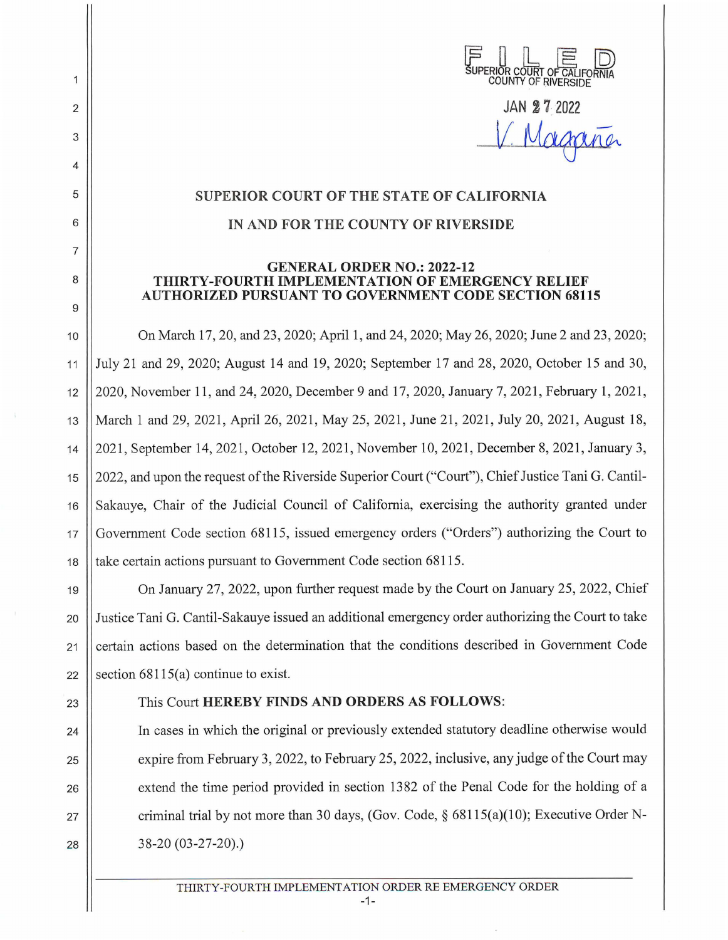| SUPERIOR COURT OF CALIFORNIA |                            |  |
|------------------------------|----------------------------|--|
|                              | <b>COUNTY OF RIVERSIDE</b> |  |

**JAN 27 202** V Magaña

## **SUPERIOR COURT OF THE STATE OF CALIFORNIA**

## **IN AND FOR THE COUNTY OF RIVERSIDE**

## **GENERAL ORDER NO.: 2022-12 THIRTY-FOURTH IMPLEMENTATION OF EMERGENCY RELIEF AUTHORIZED PURSUANT TO GOVERNMENT CODE SECTION 68115**

10 On March 17, 20, and 23, 2020; April 1, and 24, 2020; May 26, 2020; June 2 and 23, 2020; 11 July 21 and 29, 2020; August 14 and 19, 2020; September 17 and 28, 2020, October 15 and 30, 12 2020, November 11 , and 24, 2020, December 9 and 17, 2020, January 7, 2021, February **1,** 2021 , 13 || March 1 and 29, 2021, April 26, 2021, May 25, 2021, June 21, 2021, July 20, 2021, August 18, 14 2021 , September 14, 2021 , October 12, 2021 , November 10, 2021 , December 8, 2021, January 3, 15 2022, and upon the request of the Riverside Superior Court ("Court"), Chief Justice Tani G. Cantil-16 || Sakauye, Chair of the Judicial Council of California, exercising the authority granted under 17 Government Code section 68115, issued emergency orders ("Orders") authorizing the Court to 18 **take certain actions pursuant to Government Code section 68115.** 

19 On January 27, 2022, upon further request made by the Court on January 25, 2022, Chief 20 Justice Tani G. Cantil-Sakauye issued an additional emergency order authorizing the Court to take 21 | certain actions based on the determination that the conditions described in Government Code 22 Section  $68115(a)$  continue to exist.

2

 $\mathbf{1}$ 

3

4

5

6

7

8

9

## 23 This Court **HEREBY FINDS AND ORDERS AS FOLLOWS:**

24 In cases in which the original or previously extended statutory deadline otherwise would 25  $\parallel$  expire from February 3, 2022, to February 25, 2022, inclusive, any judge of the Court may 26 **extend the time period provided in section 1382 of the Penal Code for the holding of a** 27  $\parallel$  criminal trial by not more than 30 days, (Gov. Code, § 68115(a)(10); Executive Order N-28 38-20 (03-27-20).)